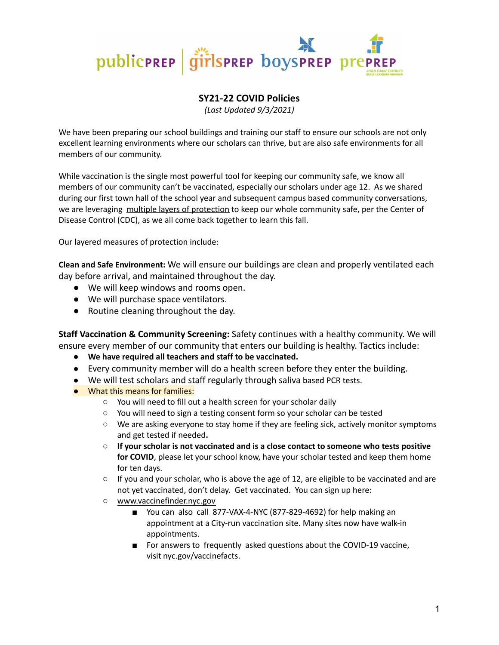

## **SY21-22 COVID Policies**

*(Last Updated 9/3/2021)*

We have been preparing our school buildings and training our staff to ensure our schools are not only excellent learning environments where our scholars can thrive, but are also safe environments for all members of our community.

While vaccination is the single most powerful tool for keeping our community safe, we know all members of our community can't be vaccinated, especially our scholars under age 12. As we shared during our first town hall of the school year and subsequent campus based community conversations, we are leveraging multiple layers of protection to keep our whole community safe, per the Center of Disease Control (CDC), as we all come back together to learn this fall.

Our layered measures of protection include:

**Clean and Safe Environment:** We will ensure our buildings are clean and properly ventilated each day before arrival, and maintained throughout the day.

- We will keep windows and rooms open.
- We will purchase space ventilators.
- Routine cleaning throughout the day.

**Staff Vaccination & Community Screening:** Safety continues with a healthy community. We will ensure every member of our community that enters our building is healthy. Tactics include:

- **● We have required all teachers and staff to be vaccinated.**
- Every community member will do a health screen before they enter the building.
- We will test scholars and staff regularly through saliva based PCR tests.
- What this means for families:
	- You will need to fill out a health screen for your scholar daily
	- You will need to sign a testing consent form so your scholar can be tested
	- We are asking everyone to stay home if they are feeling sick, actively monitor symptoms and get tested if needed**.**
	- **If your scholar is not vaccinated and is a close contact to someone who tests positive for COVID**, please let your school know, have your scholar tested and keep them home for ten days.
	- $\circ$  If you and your scholar, who is above the age of 12, are eligible to be vaccinated and are not yet vaccinated, don't delay. Get vaccinated. You can sign up here:
	- [www.vaccinefinder.nyc.gov](http://www.vaccinefinder.nyc.gov)
		- You can also call 877-VAX-4-NYC (877-829-4692) for help making an appointment at a City-run vaccination site. Many sites now have walk-in appointments.
		- For answers to frequently asked questions about the COVID-19 vaccine, visit nyc.gov/vaccinefacts.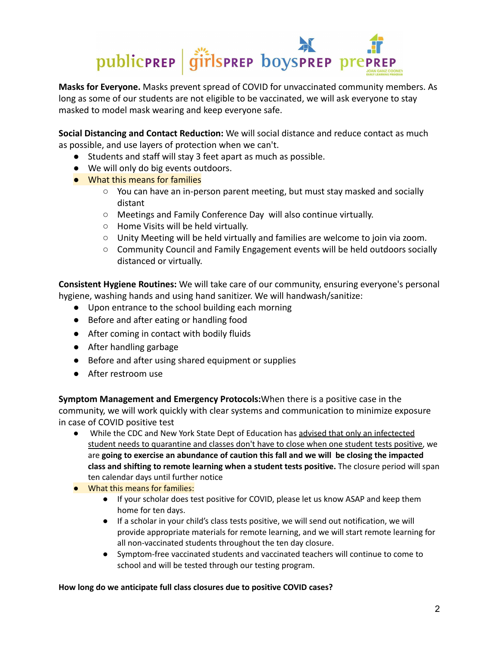

**Masks for Everyone.** Masks prevent spread of COVID for unvaccinated community members. As long as some of our students are not eligible to be vaccinated, we will ask everyone to stay masked to model mask wearing and keep everyone safe.

**Social Distancing and Contact Reduction:** We will social distance and reduce contact as much as possible, and use layers of protection when we can't.

- Students and staff will stay 3 feet apart as much as possible.
- We will only do big events outdoors.
- What this means for families
	- You can have an in-person parent meeting, but must stay masked and socially distant
	- Meetings and Family Conference Day will also continue virtually.
	- Home Visits will be held virtually.
	- Unity Meeting will be held virtually and families are welcome to join via zoom.
	- Community Council and Family Engagement events will be held outdoors socially distanced or virtually.

**Consistent Hygiene Routines:** We will take care of our community, ensuring everyone's personal hygiene, washing hands and using hand sanitizer. We will handwash/sanitize:

- Upon entrance to the school building each morning
- Before and after eating or handling food
- After coming in contact with bodily fluids
- After handling garbage
- Before and after using shared equipment or supplies
- After restroom use

**Symptom Management and Emergency Protocols:**When there is a positive case in the community, we will work quickly with clear systems and communication to minimize exposure in case of COVID positive test

- While the CDC and New York State Dept of Education has advised that only an infectected student needs to quarantine and classes don't have to close when one student tests positive, we are **going to exercise an abundance of caution this fall and we will be closing the impacted class and shifting to remote learning when a student tests positive.** The closure period will span ten calendar days until further notice
- What this means for families:
	- If your scholar does test positive for COVID, please let us know ASAP and keep them home for ten days.
	- If a scholar in your child's class tests positive, we will send out notification, we will provide appropriate materials for remote learning, and we will start remote learning for all non-vaccinated students throughout the ten day closure.
	- Symptom-free vaccinated students and vaccinated teachers will continue to come to school and will be tested through our testing program.

## **How long do we anticipate full class closures due to positive COVID cases?**